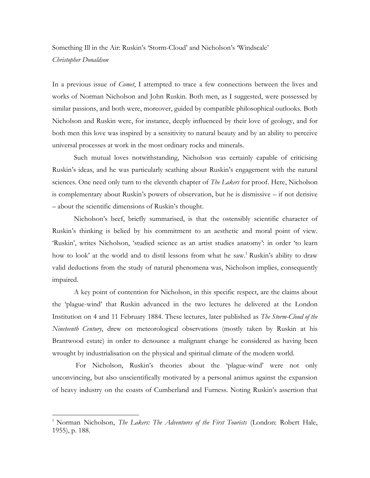## Something Ill in the Air: Ruskin's 'Storm-Cloud' and Nicholson's 'Windscale'

## *Christopher Donaldson*

 $\overline{a}$ 

In a previous issue of *Comet*, I attempted to trace a few connections between the lives and works of Norman Nicholson and John Ruskin. Both men, as I suggested, were possessed by similar passions, and both were, moreover, guided by compatible philosophical outlooks. Both Nicholson and Ruskin were, for instance, deeply influenced by their love of geology, and for both men this love was inspired by a sensitivity to natural beauty and by an ability to perceive universal processes at work in the most ordinary rocks and minerals.

Such mutual loves notwithstanding, Nicholson was certainly capable of criticising Ruskin's ideas, and he was particularly scathing about Ruskin's engagement with the natural sciences. One need only turn to the eleventh chapter of *The Lakers* for proof. Here, Nicholson is complementary about Ruskin's powers of observation, but he is dismissive – if not derisive – about the scientific dimensions of Ruskin's thought.

Nicholson's beef, briefly summarised, is that the ostensibly scientific character of Ruskin's thinking is belied by his commitment to an aesthetic and moral point of view. 'Ruskin', writes Nicholson, 'studied science as an artist studies anatomy': in order 'to learn how to look' at the world and to distil lessons from what he saw. <sup>1</sup> Ruskin's ability to draw valid deductions from the study of natural phenomena was, Nicholson implies, consequently impaired.

A key point of contention for Nicholson, in this specific respect, are the claims about the 'plague-wind' that Ruskin advanced in the two lectures he delivered at the London Institution on 4 and 11 February 1884. These lectures, later published as *The Storm-Cloud of the Nineteenth Century*, drew on meteorological observations (mostly taken by Ruskin at his Brantwood estate) in order to denounce a malignant change he considered as having been wrought by industrialisation on the physical and spiritual climate of the modern world.

For Nicholson, Ruskin's theories about the 'plague-wind' were not only unconvincing, but also unscientifically motivated by a personal animus against the expansion of heavy industry on the coasts of Cumberland and Furness. Noting Ruskin's assertion that

<sup>&</sup>lt;sup>1</sup> Norman Nicholson, *The Lakers: The Adventures of the First Tourists* (London: Robert Hale, 1955), p. 188.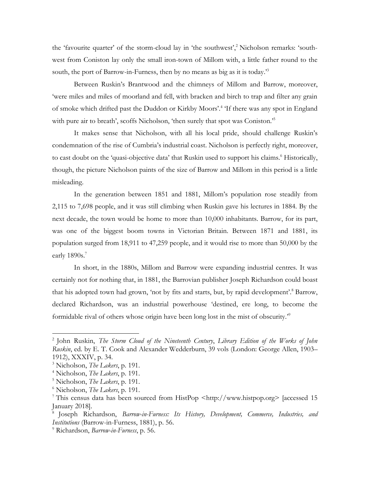the 'favourite quarter' of the storm-cloud lay in 'the southwest',<sup>2</sup> Nicholson remarks: 'southwest from Coniston lay only the small iron-town of Millom with, a little father round to the south, the port of Barrow-in-Furness, then by no means as big as it is today.'<sup>3</sup>

Between Ruskin's Brantwood and the chimneys of Millom and Barrow, moreover, 'were miles and miles of moorland and fell, with bracken and birch to trap and filter any grain of smoke which drifted past the Duddon or Kirkby Moors'.<sup>4</sup> 'If there was any spot in England with pure air to breath', scoffs Nicholson, 'then surely that spot was Coniston.'<sup>5</sup>

It makes sense that Nicholson, with all his local pride, should challenge Ruskin's condemnation of the rise of Cumbria's industrial coast. Nicholson is perfectly right, moreover, to cast doubt on the 'quasi-objective data' that Ruskin used to support his claims.<sup>6</sup> Historically, though, the picture Nicholson paints of the size of Barrow and Millom in this period is a little misleading.

In the generation between 1851 and 1881, Millom's population rose steadily from 2,115 to 7,698 people, and it was still climbing when Ruskin gave his lectures in 1884. By the next decade, the town would be home to more than 10,000 inhabitants. Barrow, for its part, was one of the biggest boom towns in Victorian Britain. Between 1871 and 1881, its population surged from 18,911 to 47,259 people, and it would rise to more than 50,000 by the early 1890s.<sup>7</sup>

In short, in the 1880s, Millom and Barrow were expanding industrial centres. It was certainly not for nothing that, in 1881, the Barrovian publisher Joseph Richardson could boast that his adopted town had grown, 'not by fits and starts, but, by rapid development'.<sup>8</sup> Barrow, declared Richardson, was an industrial powerhouse 'destined, ere long, to become the formidable rival of others whose origin have been long lost in the mist of obscurity.<sup>"</sup>

 $\overline{a}$ 

<sup>2</sup> John Ruskin, *The Storm Cloud of the Nineteenth Century*, *Library Edition of the Works of John Ruskin*, ed. by E. T. Cook and Alexander Wedderburn, 39 vols (London: George Allen, 1903– 1912), XXXIV, p. 34.

<sup>3</sup> Nicholson, *The Lakers*, p. 191.

<sup>4</sup> Nicholson, *The Lakers*, p. 191.

<sup>5</sup> Nicholson, *The Lakers*, p. 191.

<sup>6</sup> Nicholson, *The Lakers*, p. 191.

<sup>7</sup> This census data has been sourced from HistPop <http://www.histpop.org> [accessed 15 January 2018].

<sup>8</sup> Joseph Richardson, *Barrow-in-Furness: Its History, Development, Commerce, Industries, and Institutions* (Barrow-in-Furness, 1881), p. 56.

<sup>9</sup> Richardson, *Barrow-in-Furness*, p. 56.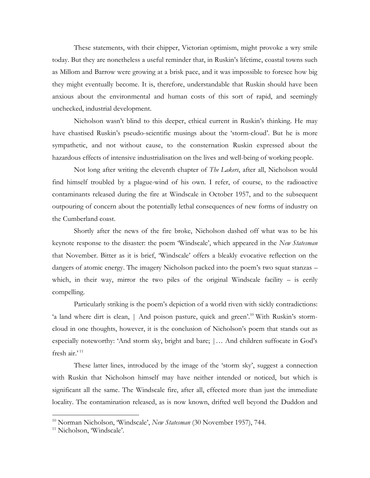These statements, with their chipper, Victorian optimism, might provoke a wry smile today. But they are nonetheless a useful reminder that, in Ruskin's lifetime, coastal towns such as Millom and Barrow were growing at a brisk pace, and it was impossible to foresee how big they might eventually become. It is, therefore, understandable that Ruskin should have been anxious about the environmental and human costs of this sort of rapid, and seemingly unchecked, industrial development.

Nicholson wasn't blind to this deeper, ethical current in Ruskin's thinking. He may have chastised Ruskin's pseudo-scientific musings about the 'storm-cloud'. But he is more sympathetic, and not without cause, to the consternation Ruskin expressed about the hazardous effects of intensive industrialisation on the lives and well-being of working people.

Not long after writing the eleventh chapter of *The Lakers*, after all, Nicholson would find himself troubled by a plague-wind of his own. I refer, of course, to the radioactive contaminants released during the fire at Windscale in October 1957, and to the subsequent outpouring of concern about the potentially lethal consequences of new forms of industry on the Cumberland coast.

Shortly after the news of the fire broke, Nicholson dashed off what was to be his keynote response to the disaster: the poem 'Windscale', which appeared in the *New Statesman*  that November. Bitter as it is brief, 'Windscale' offers a bleakly evocative reflection on the dangers of atomic energy. The imagery Nicholson packed into the poem's two squat stanzas – which, in their way, mirror the two piles of the original Windscale facility  $-$  is eerily compelling.

Particularly striking is the poem's depiction of a world riven with sickly contradictions: 'a land where dirt is clean, | And poison pasture, quick and green'.<sup>10</sup> With Ruskin's stormcloud in one thoughts, however, it is the conclusion of Nicholson's poem that stands out as especially noteworthy: 'And storm sky, bright and bare; |… And children suffocate in God's fresh air.' <sup>11</sup>

These latter lines, introduced by the image of the 'storm sky', suggest a connection with Ruskin that Nicholson himself may have neither intended or noticed, but which is significant all the same. The Windscale fire, after all, effected more than just the immediate locality. The contamination released, as is now known, drifted well beyond the Duddon and

 $\overline{a}$ 

<sup>10</sup> Norman Nicholson, 'Windscale', *New Statesman* (30 November 1957), 744.

<sup>&</sup>lt;sup>11</sup> Nicholson, 'Windscale'.